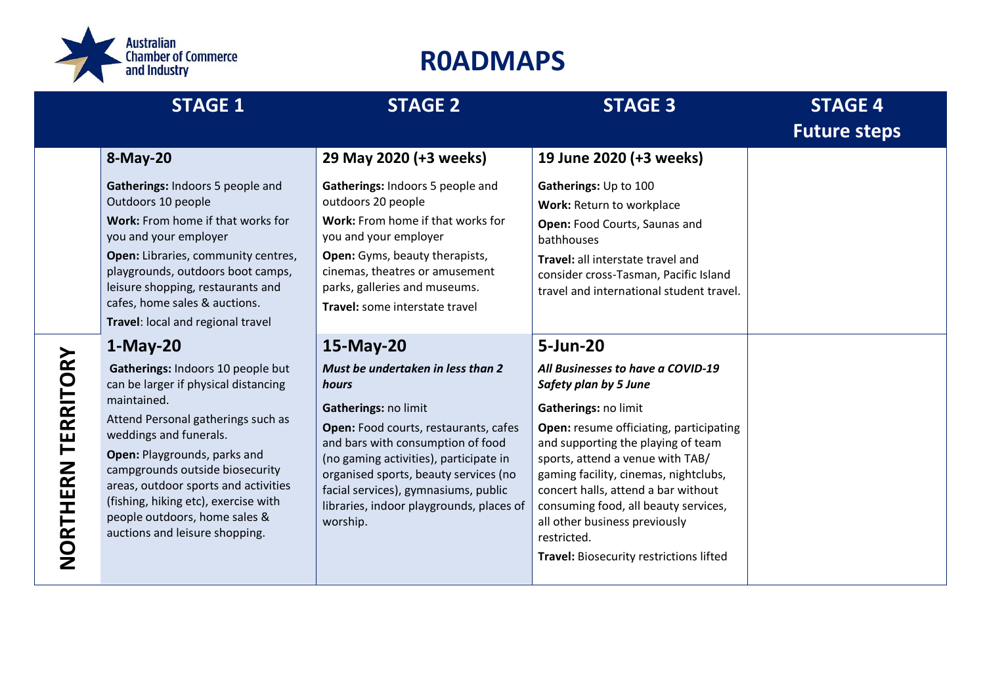

|                       | <b>STAGE 1</b>                                                                                                                                                                                                                                                                                                                                                                                                                    | <b>STAGE 2</b>                                                                                                                                                                                                                                                                                                                                   | <b>STAGE 3</b>                                                                                                                                                                                                                                                                                                                                                                                                                         | <b>STAGE 4</b><br><b>Future steps</b> |
|-----------------------|-----------------------------------------------------------------------------------------------------------------------------------------------------------------------------------------------------------------------------------------------------------------------------------------------------------------------------------------------------------------------------------------------------------------------------------|--------------------------------------------------------------------------------------------------------------------------------------------------------------------------------------------------------------------------------------------------------------------------------------------------------------------------------------------------|----------------------------------------------------------------------------------------------------------------------------------------------------------------------------------------------------------------------------------------------------------------------------------------------------------------------------------------------------------------------------------------------------------------------------------------|---------------------------------------|
|                       | 8-May-20<br>Gatherings: Indoors 5 people and<br>Outdoors 10 people<br>Work: From home if that works for<br>you and your employer<br>Open: Libraries, community centres,<br>playgrounds, outdoors boot camps,<br>leisure shopping, restaurants and<br>cafes, home sales & auctions.                                                                                                                                                | 29 May 2020 (+3 weeks)<br>Gatherings: Indoors 5 people and<br>outdoors 20 people<br>Work: From home if that works for<br>you and your employer<br>Open: Gyms, beauty therapists,<br>cinemas, theatres or amusement<br>parks, galleries and museums.<br>Travel: some interstate travel                                                            | 19 June 2020 (+3 weeks)<br>Gatherings: Up to 100<br>Work: Return to workplace<br>Open: Food Courts, Saunas and<br>bathhouses<br>Travel: all interstate travel and<br>consider cross-Tasman, Pacific Island<br>travel and international student travel.                                                                                                                                                                                 |                                       |
| TERRITORY<br>NORTHERN | Travel: local and regional travel<br>$1-May-20$<br>Gatherings: Indoors 10 people but<br>can be larger if physical distancing<br>maintained.<br>Attend Personal gatherings such as<br>weddings and funerals.<br>Open: Playgrounds, parks and<br>campgrounds outside biosecurity<br>areas, outdoor sports and activities<br>(fishing, hiking etc), exercise with<br>people outdoors, home sales &<br>auctions and leisure shopping. | 15-May-20<br>Must be undertaken in less than 2<br>hours<br>Gatherings: no limit<br>Open: Food courts, restaurants, cafes<br>and bars with consumption of food<br>(no gaming activities), participate in<br>organised sports, beauty services (no<br>facial services), gymnasiums, public<br>libraries, indoor playgrounds, places of<br>worship. | 5-Jun-20<br>All Businesses to have a COVID-19<br>Safety plan by 5 June<br>Gatherings: no limit<br>Open: resume officiating, participating<br>and supporting the playing of team<br>sports, attend a venue with TAB/<br>gaming facility, cinemas, nightclubs,<br>concert halls, attend a bar without<br>consuming food, all beauty services,<br>all other business previously<br>restricted.<br>Travel: Biosecurity restrictions lifted |                                       |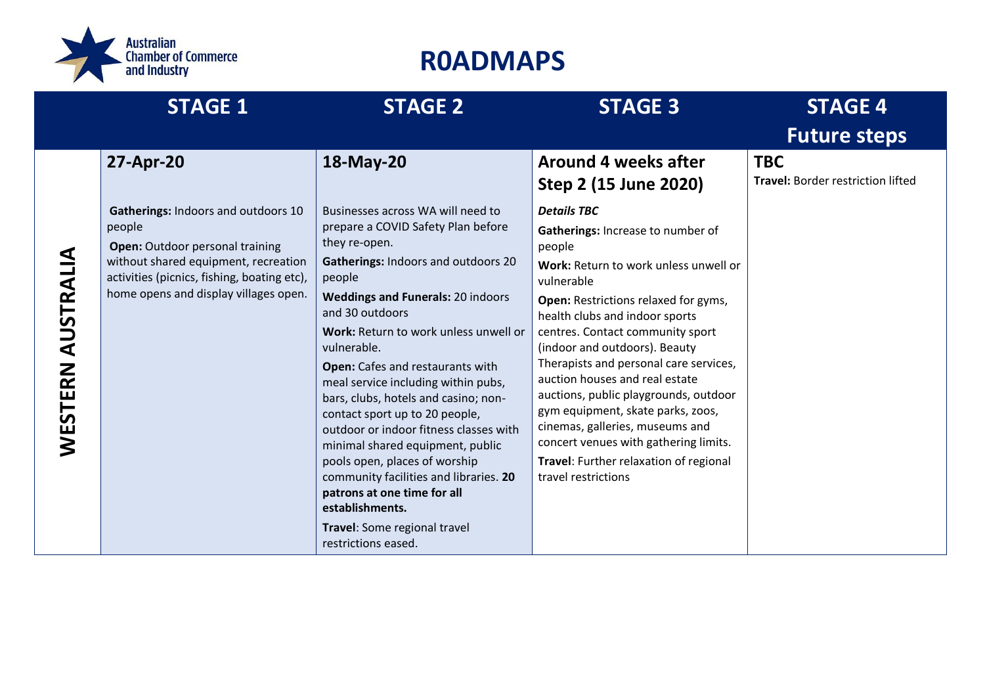

|                      | <b>STAGE 1</b>                                                                                                                                                                                                   | <b>STAGE 2</b>                                                                                                                                                                                                                                                                                                                                                                                                                                                                                                                                                                                                                                                                          | <b>STAGE 3</b>                                                                                                                                                                                                                                                                                                                                                                                                                                                                                                                                                                 | <b>STAGE 4</b>                                         |
|----------------------|------------------------------------------------------------------------------------------------------------------------------------------------------------------------------------------------------------------|-----------------------------------------------------------------------------------------------------------------------------------------------------------------------------------------------------------------------------------------------------------------------------------------------------------------------------------------------------------------------------------------------------------------------------------------------------------------------------------------------------------------------------------------------------------------------------------------------------------------------------------------------------------------------------------------|--------------------------------------------------------------------------------------------------------------------------------------------------------------------------------------------------------------------------------------------------------------------------------------------------------------------------------------------------------------------------------------------------------------------------------------------------------------------------------------------------------------------------------------------------------------------------------|--------------------------------------------------------|
|                      |                                                                                                                                                                                                                  |                                                                                                                                                                                                                                                                                                                                                                                                                                                                                                                                                                                                                                                                                         |                                                                                                                                                                                                                                                                                                                                                                                                                                                                                                                                                                                | <b>Future steps</b>                                    |
|                      | 27-Apr-20                                                                                                                                                                                                        | 18-May-20                                                                                                                                                                                                                                                                                                                                                                                                                                                                                                                                                                                                                                                                               | Around 4 weeks after<br>Step 2 (15 June 2020)                                                                                                                                                                                                                                                                                                                                                                                                                                                                                                                                  | <b>TBC</b><br><b>Travel: Border restriction lifted</b> |
| AUSTRALIA<br>WESTERN | Gatherings: Indoors and outdoors 10<br>people<br>Open: Outdoor personal training<br>without shared equipment, recreation<br>activities (picnics, fishing, boating etc),<br>home opens and display villages open. | Businesses across WA will need to<br>prepare a COVID Safety Plan before<br>they re-open.<br>Gatherings: Indoors and outdoors 20<br>people<br><b>Weddings and Funerals: 20 indoors</b><br>and 30 outdoors<br>Work: Return to work unless unwell or<br>vulnerable.<br>Open: Cafes and restaurants with<br>meal service including within pubs,<br>bars, clubs, hotels and casino; non-<br>contact sport up to 20 people,<br>outdoor or indoor fitness classes with<br>minimal shared equipment, public<br>pools open, places of worship<br>community facilities and libraries. 20<br>patrons at one time for all<br>establishments.<br>Travel: Some regional travel<br>restrictions eased. | <b>Details TBC</b><br>Gatherings: Increase to number of<br>people<br>Work: Return to work unless unwell or<br>vulnerable<br>Open: Restrictions relaxed for gyms,<br>health clubs and indoor sports<br>centres. Contact community sport<br>(indoor and outdoors). Beauty<br>Therapists and personal care services,<br>auction houses and real estate<br>auctions, public playgrounds, outdoor<br>gym equipment, skate parks, zoos,<br>cinemas, galleries, museums and<br>concert venues with gathering limits.<br>Travel: Further relaxation of regional<br>travel restrictions |                                                        |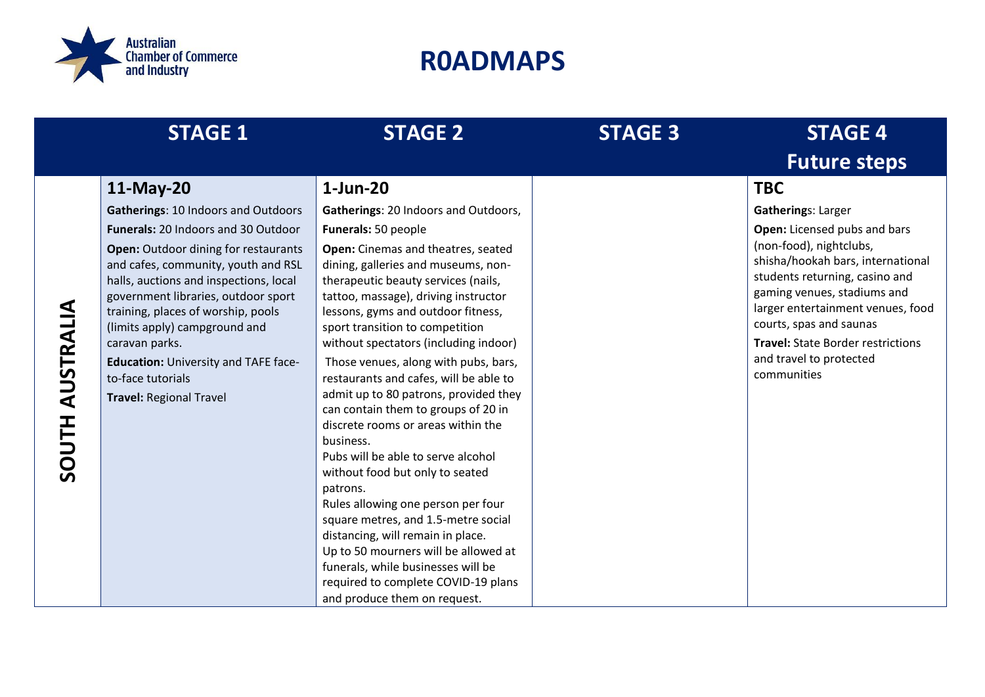

|                           | <b>STAGE 1</b>                                                                                                                                                                                                                                                                                                                                                                                                                                          | <b>STAGE 2</b>                                                                                                                                                                                                                                                                                                                                                                                                                                                                                                                                                                                                                                                                                                                                                                                                                                                                                                             | <b>STAGE 3</b> | <b>STAGE 4</b>                                                                                                                                                                                                                                                                                                                                   |
|---------------------------|---------------------------------------------------------------------------------------------------------------------------------------------------------------------------------------------------------------------------------------------------------------------------------------------------------------------------------------------------------------------------------------------------------------------------------------------------------|----------------------------------------------------------------------------------------------------------------------------------------------------------------------------------------------------------------------------------------------------------------------------------------------------------------------------------------------------------------------------------------------------------------------------------------------------------------------------------------------------------------------------------------------------------------------------------------------------------------------------------------------------------------------------------------------------------------------------------------------------------------------------------------------------------------------------------------------------------------------------------------------------------------------------|----------------|--------------------------------------------------------------------------------------------------------------------------------------------------------------------------------------------------------------------------------------------------------------------------------------------------------------------------------------------------|
|                           |                                                                                                                                                                                                                                                                                                                                                                                                                                                         |                                                                                                                                                                                                                                                                                                                                                                                                                                                                                                                                                                                                                                                                                                                                                                                                                                                                                                                            |                | <b>Future steps</b>                                                                                                                                                                                                                                                                                                                              |
|                           | 11-May-20                                                                                                                                                                                                                                                                                                                                                                                                                                               | 1-Jun-20                                                                                                                                                                                                                                                                                                                                                                                                                                                                                                                                                                                                                                                                                                                                                                                                                                                                                                                   |                | <b>TBC</b>                                                                                                                                                                                                                                                                                                                                       |
| AUSTRALIA<br><b>SOUTH</b> | Gatherings: 10 Indoors and Outdoors<br><b>Funerals: 20 Indoors and 30 Outdoor</b><br><b>Open:</b> Outdoor dining for restaurants<br>and cafes, community, youth and RSL<br>halls, auctions and inspections, local<br>government libraries, outdoor sport<br>training, places of worship, pools<br>(limits apply) campground and<br>caravan parks.<br><b>Education: University and TAFE face-</b><br>to-face tutorials<br><b>Travel: Regional Travel</b> | Gatherings: 20 Indoors and Outdoors,<br>Funerals: 50 people<br>Open: Cinemas and theatres, seated<br>dining, galleries and museums, non-<br>therapeutic beauty services (nails,<br>tattoo, massage), driving instructor<br>lessons, gyms and outdoor fitness,<br>sport transition to competition<br>without spectators (including indoor)<br>Those venues, along with pubs, bars,<br>restaurants and cafes, will be able to<br>admit up to 80 patrons, provided they<br>can contain them to groups of 20 in<br>discrete rooms or areas within the<br>business.<br>Pubs will be able to serve alcohol<br>without food but only to seated<br>patrons.<br>Rules allowing one person per four<br>square metres, and 1.5-metre social<br>distancing, will remain in place.<br>Up to 50 mourners will be allowed at<br>funerals, while businesses will be<br>required to complete COVID-19 plans<br>and produce them on request. |                | <b>Gatherings: Larger</b><br>Open: Licensed pubs and bars<br>(non-food), nightclubs,<br>shisha/hookah bars, international<br>students returning, casino and<br>gaming venues, stadiums and<br>larger entertainment venues, food<br>courts, spas and saunas<br><b>Travel: State Border restrictions</b><br>and travel to protected<br>communities |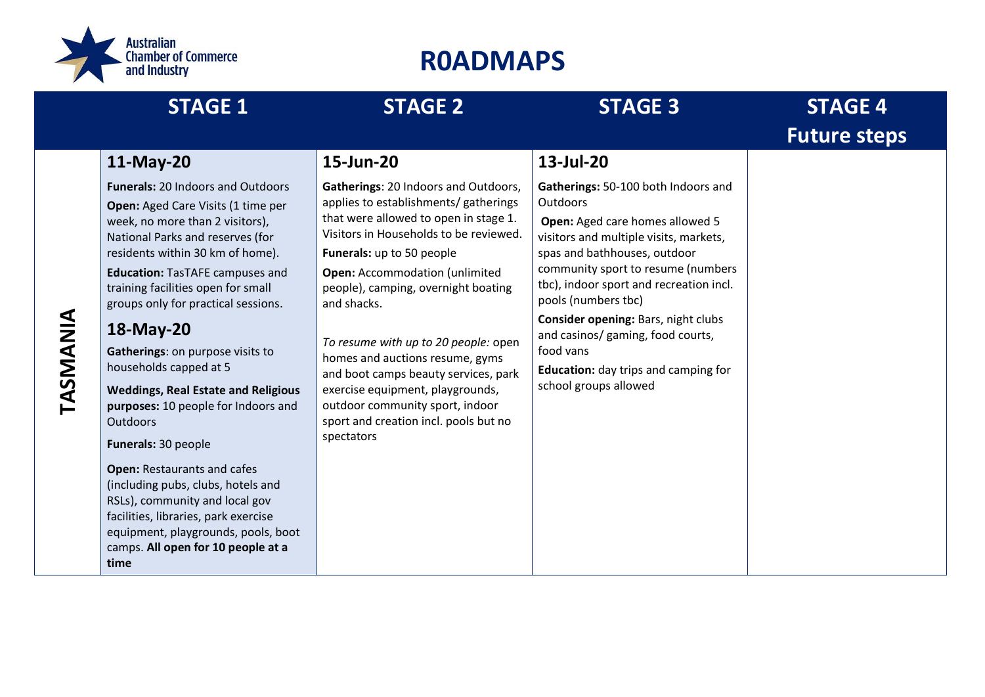

|          | <b>STAGE 1</b>                                                                                                                                                                                                                                                                                                                                                                                                                                                                                                                                                                                                                                                                                                                                                        | <b>STAGE 2</b>                                                                                                                                                                                                                                                                                                                                                                                                                                                                                                                                | <b>STAGE 3</b>                                                                                                                                                                                                                                                                                                                                                                                                                 | <b>STAGE 4</b>      |
|----------|-----------------------------------------------------------------------------------------------------------------------------------------------------------------------------------------------------------------------------------------------------------------------------------------------------------------------------------------------------------------------------------------------------------------------------------------------------------------------------------------------------------------------------------------------------------------------------------------------------------------------------------------------------------------------------------------------------------------------------------------------------------------------|-----------------------------------------------------------------------------------------------------------------------------------------------------------------------------------------------------------------------------------------------------------------------------------------------------------------------------------------------------------------------------------------------------------------------------------------------------------------------------------------------------------------------------------------------|--------------------------------------------------------------------------------------------------------------------------------------------------------------------------------------------------------------------------------------------------------------------------------------------------------------------------------------------------------------------------------------------------------------------------------|---------------------|
|          |                                                                                                                                                                                                                                                                                                                                                                                                                                                                                                                                                                                                                                                                                                                                                                       |                                                                                                                                                                                                                                                                                                                                                                                                                                                                                                                                               |                                                                                                                                                                                                                                                                                                                                                                                                                                | <b>Future steps</b> |
|          | 11-May-20                                                                                                                                                                                                                                                                                                                                                                                                                                                                                                                                                                                                                                                                                                                                                             | 15-Jun-20                                                                                                                                                                                                                                                                                                                                                                                                                                                                                                                                     | 13-Jul-20                                                                                                                                                                                                                                                                                                                                                                                                                      |                     |
| TASMANIA | <b>Funerals: 20 Indoors and Outdoors</b><br>Open: Aged Care Visits (1 time per<br>week, no more than 2 visitors),<br>National Parks and reserves (for<br>residents within 30 km of home).<br><b>Education: TasTAFE campuses and</b><br>training facilities open for small<br>groups only for practical sessions.<br>18-May-20<br>Gatherings: on purpose visits to<br>households capped at 5<br><b>Weddings, Real Estate and Religious</b><br>purposes: 10 people for Indoors and<br><b>Outdoors</b><br>Funerals: 30 people<br><b>Open: Restaurants and cafes</b><br>(including pubs, clubs, hotels and<br>RSLs), community and local gov<br>facilities, libraries, park exercise<br>equipment, playgrounds, pools, boot<br>camps. All open for 10 people at a<br>time | Gatherings: 20 Indoors and Outdoors,<br>applies to establishments/ gatherings<br>that were allowed to open in stage 1.<br>Visitors in Households to be reviewed.<br>Funerals: up to 50 people<br><b>Open:</b> Accommodation (unlimited<br>people), camping, overnight boating<br>and shacks.<br>To resume with up to 20 people: open<br>homes and auctions resume, gyms<br>and boot camps beauty services, park<br>exercise equipment, playgrounds,<br>outdoor community sport, indoor<br>sport and creation incl. pools but no<br>spectators | Gatherings: 50-100 both Indoors and<br>Outdoors<br>Open: Aged care homes allowed 5<br>visitors and multiple visits, markets,<br>spas and bathhouses, outdoor<br>community sport to resume (numbers<br>tbc), indoor sport and recreation incl.<br>pools (numbers tbc)<br>Consider opening: Bars, night clubs<br>and casinos/ gaming, food courts,<br>food vans<br>Education: day trips and camping for<br>school groups allowed |                     |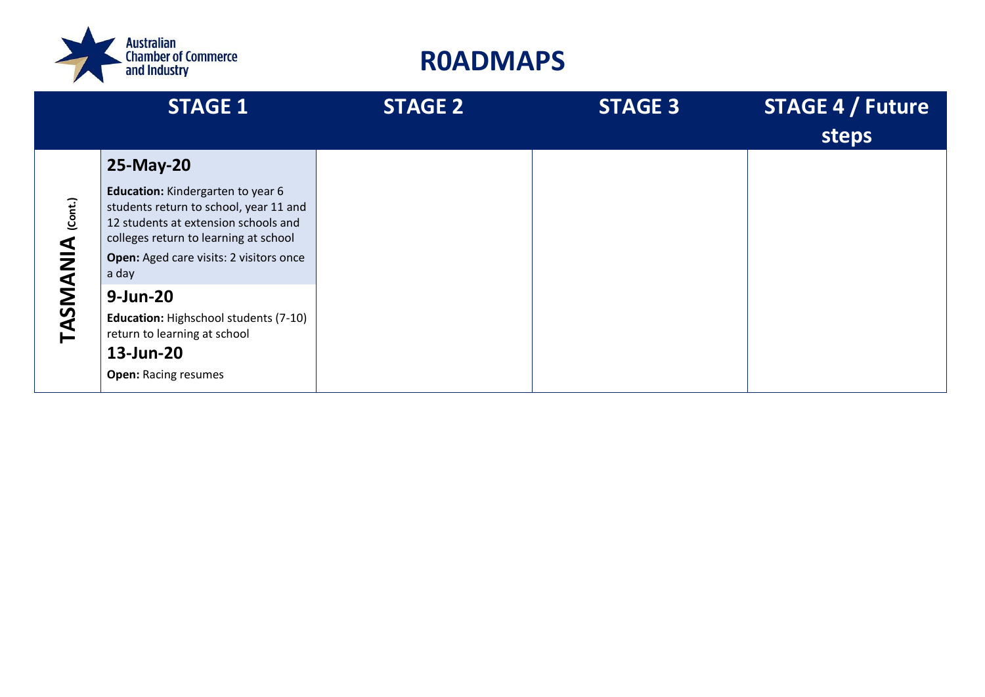

|                     | <b>STAGE 1</b>                                                                                                                                                                                                   | <b>STAGE 2</b> | <b>STAGE 3</b> | <b>STAGE 4 / Future</b><br>steps |
|---------------------|------------------------------------------------------------------------------------------------------------------------------------------------------------------------------------------------------------------|----------------|----------------|----------------------------------|
|                     | 25-May-20                                                                                                                                                                                                        |                |                |                                  |
| (Cont.)<br>TASMANIA | Education: Kindergarten to year 6<br>students return to school, year 11 and<br>12 students at extension schools and<br>colleges return to learning at school<br>Open: Aged care visits: 2 visitors once<br>a day |                |                |                                  |
|                     | 9-Jun-20                                                                                                                                                                                                         |                |                |                                  |
|                     | Education: Highschool students (7-10)<br>return to learning at school                                                                                                                                            |                |                |                                  |
|                     | 13-Jun-20                                                                                                                                                                                                        |                |                |                                  |
|                     | <b>Open: Racing resumes</b>                                                                                                                                                                                      |                |                |                                  |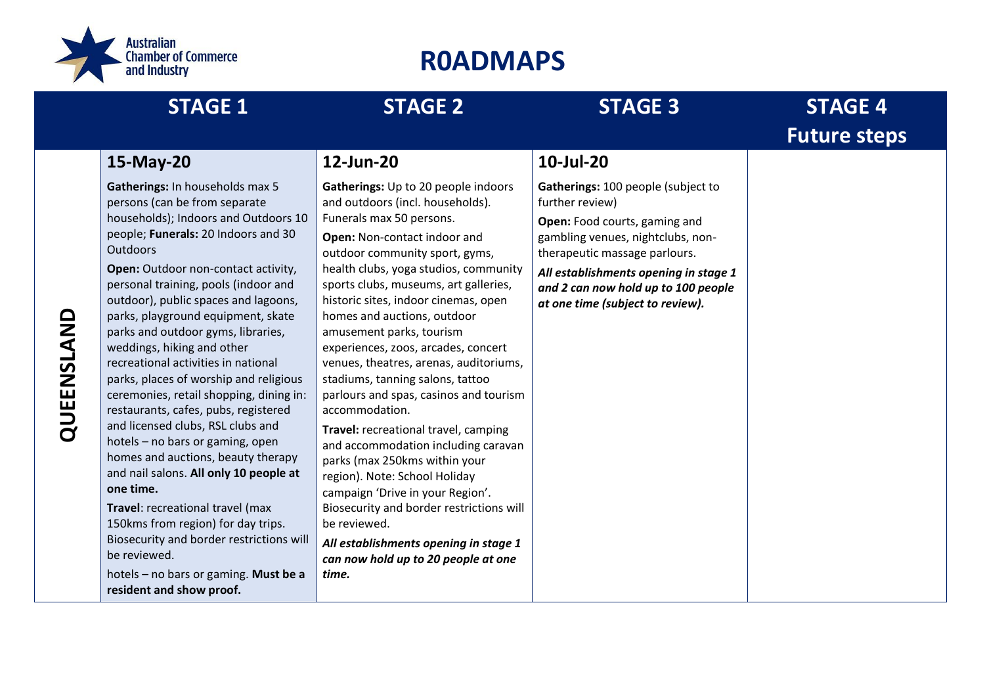

|            | <b>STAGE 1</b>                                                                                                                                                                                                                                                                                                                                                                                                                                                                                                                                                                                                                                                                                                                                                                                                                                                                                                                                    | <b>STAGE 2</b>                                                                                                                                                                                                                                                                                                                                                                                                                                                                                                                                                                                                                                                                                                                                                                                                                                                                        | <b>STAGE 3</b>                                                                                                                                                                                                                                                                   | <b>STAGE 4</b>      |
|------------|---------------------------------------------------------------------------------------------------------------------------------------------------------------------------------------------------------------------------------------------------------------------------------------------------------------------------------------------------------------------------------------------------------------------------------------------------------------------------------------------------------------------------------------------------------------------------------------------------------------------------------------------------------------------------------------------------------------------------------------------------------------------------------------------------------------------------------------------------------------------------------------------------------------------------------------------------|---------------------------------------------------------------------------------------------------------------------------------------------------------------------------------------------------------------------------------------------------------------------------------------------------------------------------------------------------------------------------------------------------------------------------------------------------------------------------------------------------------------------------------------------------------------------------------------------------------------------------------------------------------------------------------------------------------------------------------------------------------------------------------------------------------------------------------------------------------------------------------------|----------------------------------------------------------------------------------------------------------------------------------------------------------------------------------------------------------------------------------------------------------------------------------|---------------------|
|            |                                                                                                                                                                                                                                                                                                                                                                                                                                                                                                                                                                                                                                                                                                                                                                                                                                                                                                                                                   |                                                                                                                                                                                                                                                                                                                                                                                                                                                                                                                                                                                                                                                                                                                                                                                                                                                                                       |                                                                                                                                                                                                                                                                                  | <b>Future steps</b> |
|            | 15-May-20                                                                                                                                                                                                                                                                                                                                                                                                                                                                                                                                                                                                                                                                                                                                                                                                                                                                                                                                         | 12-Jun-20                                                                                                                                                                                                                                                                                                                                                                                                                                                                                                                                                                                                                                                                                                                                                                                                                                                                             | 10-Jul-20                                                                                                                                                                                                                                                                        |                     |
| QUEENSLAND | Gatherings: In households max 5<br>persons (can be from separate<br>households); Indoors and Outdoors 10<br>people; Funerals: 20 Indoors and 30<br>Outdoors<br>Open: Outdoor non-contact activity,<br>personal training, pools (indoor and<br>outdoor), public spaces and lagoons,<br>parks, playground equipment, skate<br>parks and outdoor gyms, libraries,<br>weddings, hiking and other<br>recreational activities in national<br>parks, places of worship and religious<br>ceremonies, retail shopping, dining in:<br>restaurants, cafes, pubs, registered<br>and licensed clubs, RSL clubs and<br>hotels - no bars or gaming, open<br>homes and auctions, beauty therapy<br>and nail salons. All only 10 people at<br>one time.<br>Travel: recreational travel (max<br>150kms from region) for day trips.<br>Biosecurity and border restrictions will<br>be reviewed.<br>hotels - no bars or gaming. Must be a<br>resident and show proof. | Gatherings: Up to 20 people indoors<br>and outdoors (incl. households).<br>Funerals max 50 persons.<br>Open: Non-contact indoor and<br>outdoor community sport, gyms,<br>health clubs, yoga studios, community<br>sports clubs, museums, art galleries,<br>historic sites, indoor cinemas, open<br>homes and auctions, outdoor<br>amusement parks, tourism<br>experiences, zoos, arcades, concert<br>venues, theatres, arenas, auditoriums,<br>stadiums, tanning salons, tattoo<br>parlours and spas, casinos and tourism<br>accommodation.<br>Travel: recreational travel, camping<br>and accommodation including caravan<br>parks (max 250kms within your<br>region). Note: School Holiday<br>campaign 'Drive in your Region'.<br>Biosecurity and border restrictions will<br>be reviewed.<br>All establishments opening in stage 1<br>can now hold up to 20 people at one<br>time. | Gatherings: 100 people (subject to<br>further review)<br>Open: Food courts, gaming and<br>gambling venues, nightclubs, non-<br>therapeutic massage parlours.<br>All establishments opening in stage 1<br>and 2 can now hold up to 100 people<br>at one time (subject to review). |                     |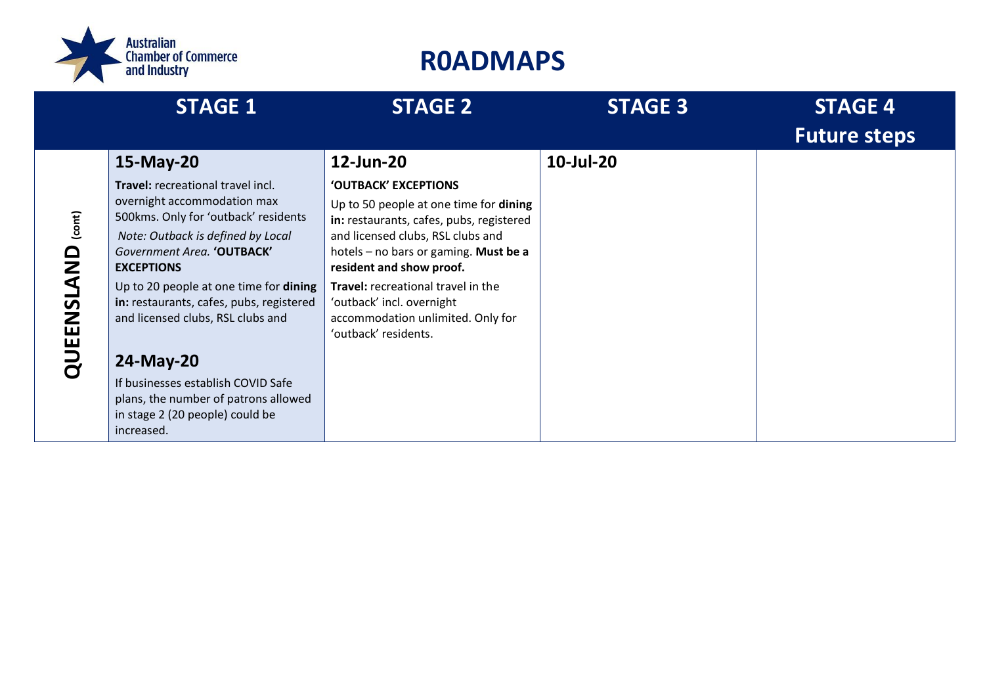

|                                                    | <b>STAGE 1</b>                                                                                                                                                                                                                                                                                                                                                                                                                                                         | <b>STAGE 2</b>                                                                                                                                                                                                                                                                                                                                                    | <b>STAGE 3</b> | <b>STAGE 4</b><br><b>Future steps</b> |
|----------------------------------------------------|------------------------------------------------------------------------------------------------------------------------------------------------------------------------------------------------------------------------------------------------------------------------------------------------------------------------------------------------------------------------------------------------------------------------------------------------------------------------|-------------------------------------------------------------------------------------------------------------------------------------------------------------------------------------------------------------------------------------------------------------------------------------------------------------------------------------------------------------------|----------------|---------------------------------------|
| $_{(cont)}$<br><u>ា</u><br><u>თ</u><br>2<br>ய<br>Ш | 15-May-20<br>Travel: recreational travel incl.<br>overnight accommodation max<br>500kms. Only for 'outback' residents<br>Note: Outback is defined by Local<br>Government Area. 'OUTBACK'<br><b>EXCEPTIONS</b><br>Up to 20 people at one time for dining<br>in: restaurants, cafes, pubs, registered<br>and licensed clubs, RSL clubs and<br>24-May-20<br>If businesses establish COVID Safe<br>plans, the number of patrons allowed<br>in stage 2 (20 people) could be | 12-Jun-20<br>'OUTBACK' EXCEPTIONS<br>Up to 50 people at one time for dining<br>in: restaurants, cafes, pubs, registered<br>and licensed clubs, RSL clubs and<br>hotels - no bars or gaming. Must be a<br>resident and show proof.<br>Travel: recreational travel in the<br>'outback' incl. overnight<br>accommodation unlimited. Only for<br>'outback' residents. | 10-Jul-20      |                                       |
|                                                    | increased.                                                                                                                                                                                                                                                                                                                                                                                                                                                             |                                                                                                                                                                                                                                                                                                                                                                   |                |                                       |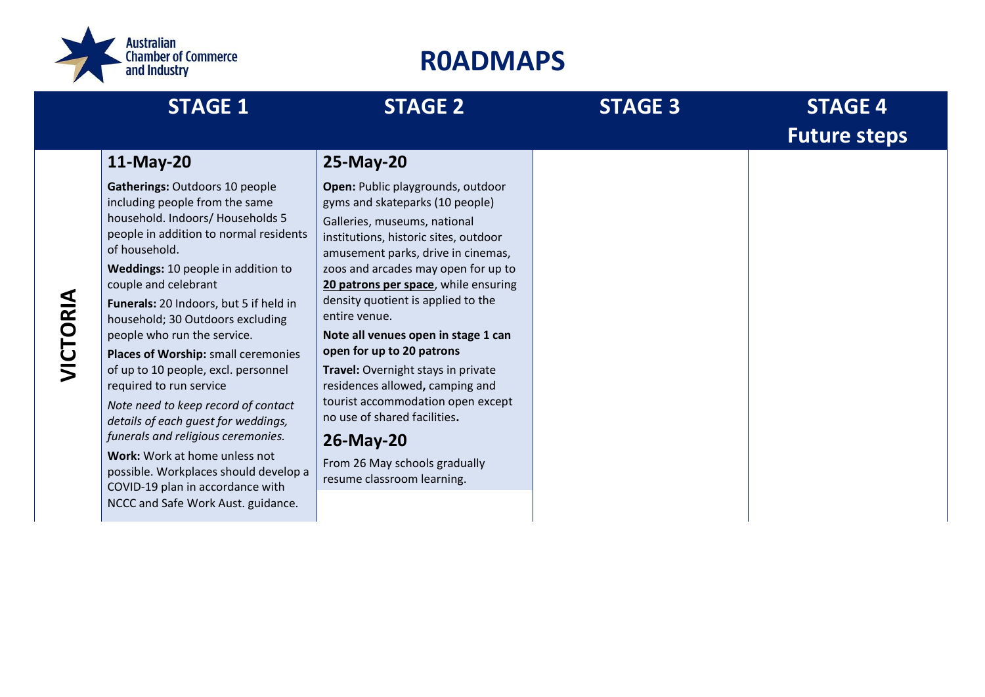

|          | <b>STAGE 1</b>                                                                                                                                                                                                                                                                                                                                                                                                                                                                                                                                                                                                                                                                                                              | <b>STAGE 2</b>                                                                                                                                                                                                                                                                                                                                                                                                                                                                                                                                                                                                          | <b>STAGE 3</b> | <b>STAGE 4</b><br><b>Future steps</b> |
|----------|-----------------------------------------------------------------------------------------------------------------------------------------------------------------------------------------------------------------------------------------------------------------------------------------------------------------------------------------------------------------------------------------------------------------------------------------------------------------------------------------------------------------------------------------------------------------------------------------------------------------------------------------------------------------------------------------------------------------------------|-------------------------------------------------------------------------------------------------------------------------------------------------------------------------------------------------------------------------------------------------------------------------------------------------------------------------------------------------------------------------------------------------------------------------------------------------------------------------------------------------------------------------------------------------------------------------------------------------------------------------|----------------|---------------------------------------|
|          | 11-May-20                                                                                                                                                                                                                                                                                                                                                                                                                                                                                                                                                                                                                                                                                                                   | 25-May-20                                                                                                                                                                                                                                                                                                                                                                                                                                                                                                                                                                                                               |                |                                       |
| VICTORIA | Gatherings: Outdoors 10 people<br>including people from the same<br>household. Indoors/ Households 5<br>people in addition to normal residents<br>of household.<br>Weddings: 10 people in addition to<br>couple and celebrant<br>Funerals: 20 Indoors, but 5 if held in<br>household; 30 Outdoors excluding<br>people who run the service.<br>Places of Worship: small ceremonies<br>of up to 10 people, excl. personnel<br>required to run service<br>Note need to keep record of contact<br>details of each guest for weddings,<br>funerals and religious ceremonies.<br>Work: Work at home unless not<br>possible. Workplaces should develop a<br>COVID-19 plan in accordance with<br>NCCC and Safe Work Aust. guidance. | Open: Public playgrounds, outdoor<br>gyms and skateparks (10 people)<br>Galleries, museums, national<br>institutions, historic sites, outdoor<br>amusement parks, drive in cinemas,<br>zoos and arcades may open for up to<br>20 patrons per space, while ensuring<br>density quotient is applied to the<br>entire venue.<br>Note all venues open in stage 1 can<br>open for up to 20 patrons<br>Travel: Overnight stays in private<br>residences allowed, camping and<br>tourist accommodation open except<br>no use of shared facilities.<br>26-May-20<br>From 26 May schools gradually<br>resume classroom learning. |                |                                       |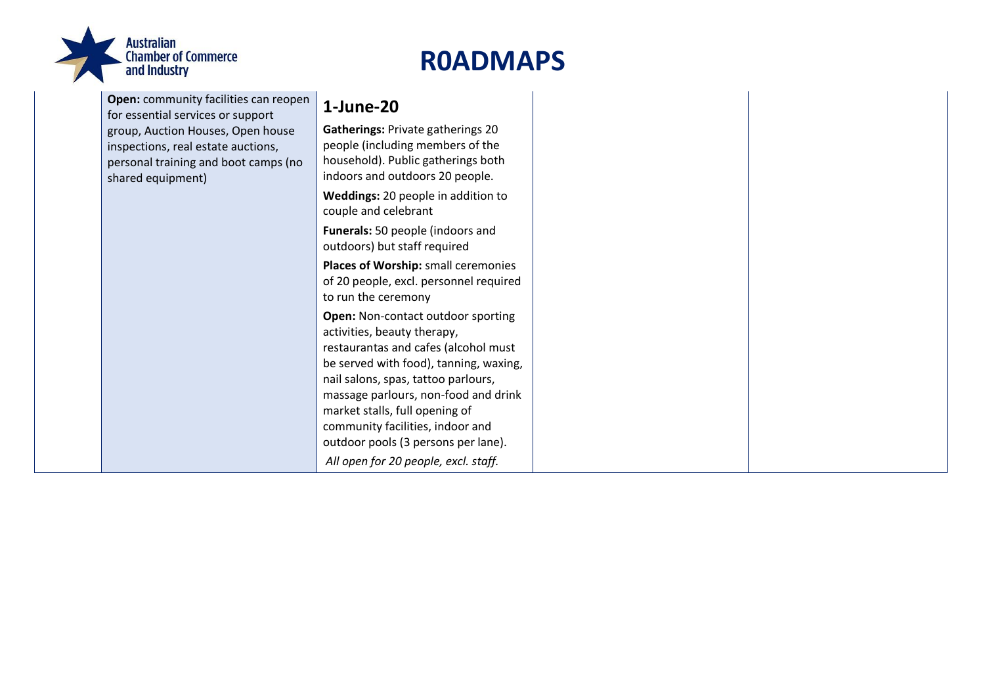

| <b>Open:</b> community facilities can reopen<br>for essential services or support                                                    | 1-June-20                                                                                                                                                                                  |
|--------------------------------------------------------------------------------------------------------------------------------------|--------------------------------------------------------------------------------------------------------------------------------------------------------------------------------------------|
| group, Auction Houses, Open house<br>inspections, real estate auctions,<br>personal training and boot camps (no<br>shared equipment) | <b>Gatherings: Private gatherings 20</b><br>people (including members of the<br>household). Public gatherings both<br>indoors and outdoors 20 people.                                      |
|                                                                                                                                      | Weddings: 20 people in addition to<br>couple and celebrant                                                                                                                                 |
|                                                                                                                                      | Funerals: 50 people (indoors and<br>outdoors) but staff required                                                                                                                           |
|                                                                                                                                      | Places of Worship: small ceremonies<br>of 20 people, excl. personnel required<br>to run the ceremony                                                                                       |
|                                                                                                                                      | Open: Non-contact outdoor sporting<br>activities, beauty therapy,<br>restaurantas and cafes (alcohol must<br>be served with food), tanning, waxing,<br>nail salons, spas, tattoo parlours, |
|                                                                                                                                      | massage parlours, non-food and drink<br>market stalls, full opening of<br>community facilities, indoor and<br>outdoor pools (3 persons per lane).                                          |
|                                                                                                                                      | All open for 20 people, excl. staff.                                                                                                                                                       |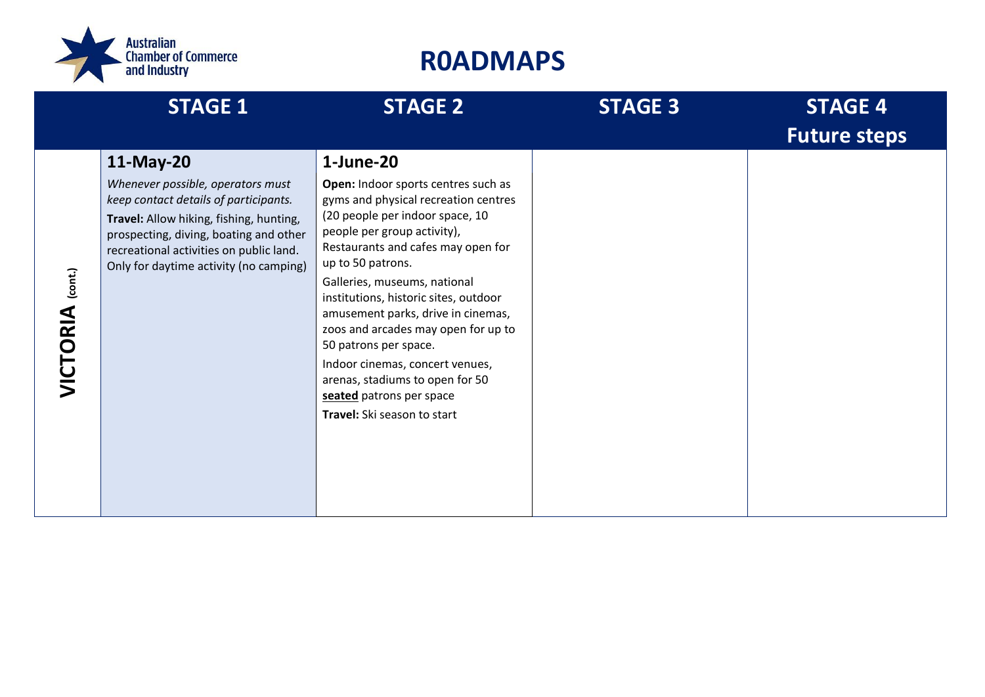

|                            | <b>STAGE 1</b>                                                                                                                                                                                                                                                    | <b>STAGE 2</b>                                                                                                                                                                                                                                                                                                                                                                                                                                                                                                                        | <b>STAGE 3</b> | <b>STAGE 4</b><br><b>Future steps</b> |
|----------------------------|-------------------------------------------------------------------------------------------------------------------------------------------------------------------------------------------------------------------------------------------------------------------|---------------------------------------------------------------------------------------------------------------------------------------------------------------------------------------------------------------------------------------------------------------------------------------------------------------------------------------------------------------------------------------------------------------------------------------------------------------------------------------------------------------------------------------|----------------|---------------------------------------|
| (cont.)<br><b>VICTORIA</b> | 11-May-20<br>Whenever possible, operators must<br>keep contact details of participants.<br>Travel: Allow hiking, fishing, hunting,<br>prospecting, diving, boating and other<br>recreational activities on public land.<br>Only for daytime activity (no camping) | 1-June-20<br>Open: Indoor sports centres such as<br>gyms and physical recreation centres<br>(20 people per indoor space, 10<br>people per group activity),<br>Restaurants and cafes may open for<br>up to 50 patrons.<br>Galleries, museums, national<br>institutions, historic sites, outdoor<br>amusement parks, drive in cinemas,<br>zoos and arcades may open for up to<br>50 patrons per space.<br>Indoor cinemas, concert venues,<br>arenas, stadiums to open for 50<br>seated patrons per space<br>Travel: Ski season to start |                |                                       |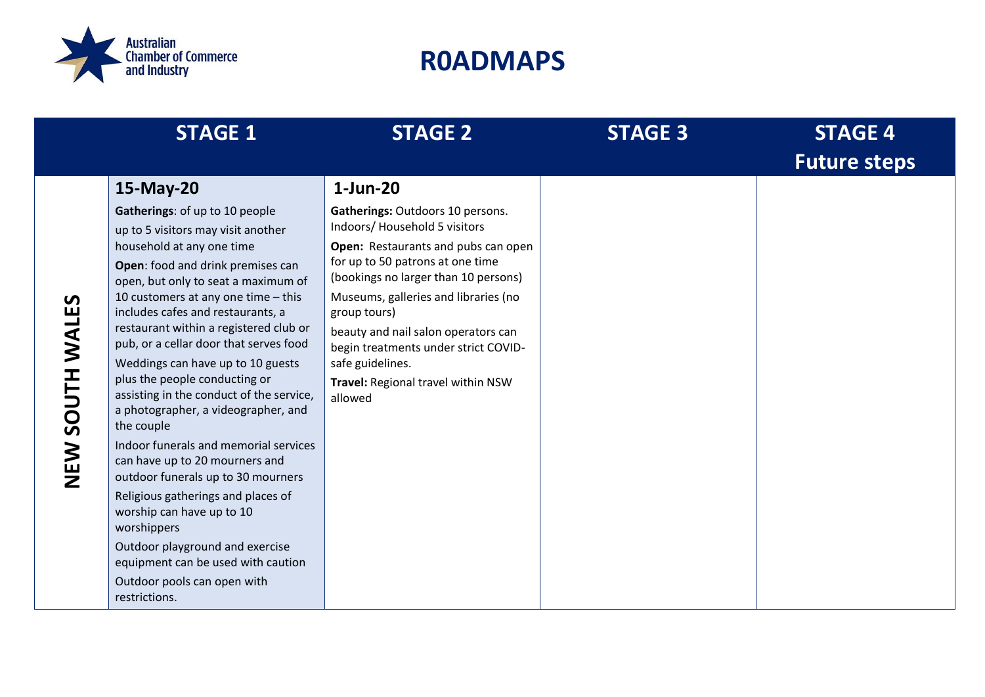

|                           | <b>STAGE 1</b>                                                                                                                                                                                                                                                                                                                                                                                                                                                                                                                                                                                                                                                                                                                                                                                                                                                  | <b>STAGE 2</b>                                                                                                                                                                                                                                                                                                                                                                                                 | <b>STAGE 3</b> | <b>STAGE 4</b><br><b>Future steps</b> |
|---------------------------|-----------------------------------------------------------------------------------------------------------------------------------------------------------------------------------------------------------------------------------------------------------------------------------------------------------------------------------------------------------------------------------------------------------------------------------------------------------------------------------------------------------------------------------------------------------------------------------------------------------------------------------------------------------------------------------------------------------------------------------------------------------------------------------------------------------------------------------------------------------------|----------------------------------------------------------------------------------------------------------------------------------------------------------------------------------------------------------------------------------------------------------------------------------------------------------------------------------------------------------------------------------------------------------------|----------------|---------------------------------------|
| SOUTH WALES<br><b>NEW</b> | 15-May-20<br>Gatherings: of up to 10 people<br>up to 5 visitors may visit another<br>household at any one time<br>Open: food and drink premises can<br>open, but only to seat a maximum of<br>10 customers at any one time $-$ this<br>includes cafes and restaurants, a<br>restaurant within a registered club or<br>pub, or a cellar door that serves food<br>Weddings can have up to 10 guests<br>plus the people conducting or<br>assisting in the conduct of the service,<br>a photographer, a videographer, and<br>the couple<br>Indoor funerals and memorial services<br>can have up to 20 mourners and<br>outdoor funerals up to 30 mourners<br>Religious gatherings and places of<br>worship can have up to 10<br>worshippers<br>Outdoor playground and exercise<br>equipment can be used with caution<br>Outdoor pools can open with<br>restrictions. | $1$ -Jun-20<br>Gatherings: Outdoors 10 persons.<br>Indoors/Household 5 visitors<br>Open: Restaurants and pubs can open<br>for up to 50 patrons at one time<br>(bookings no larger than 10 persons)<br>Museums, galleries and libraries (no<br>group tours)<br>beauty and nail salon operators can<br>begin treatments under strict COVID-<br>safe guidelines.<br>Travel: Regional travel within NSW<br>allowed |                |                                       |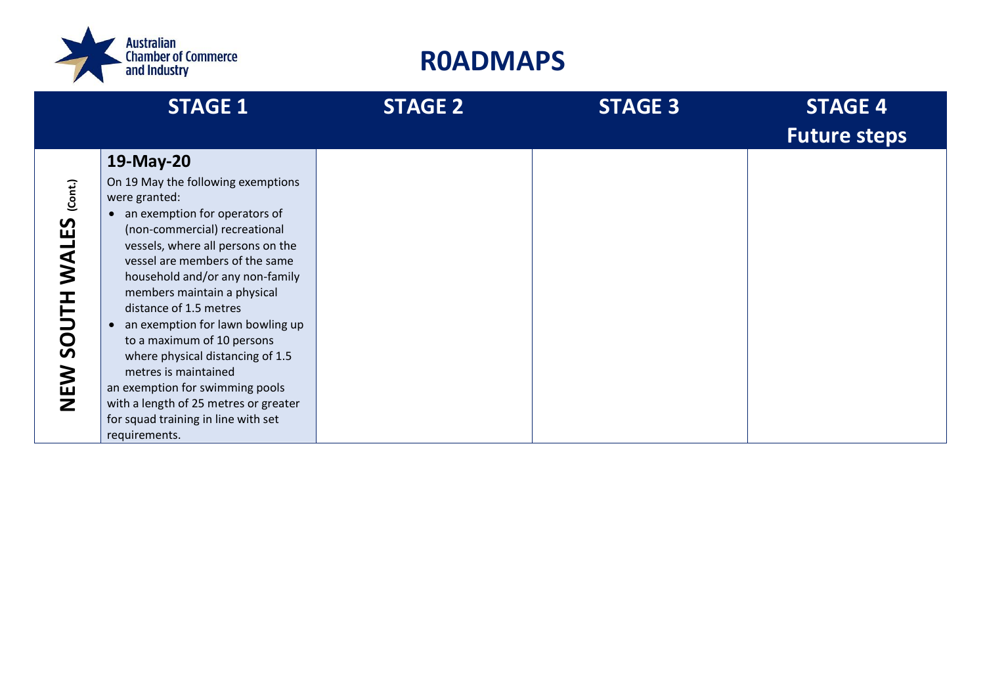

|                                                              | <b>STAGE 1</b>                                                                                                                                                                                                                                                                                                                                                                                                                                                                                                                                                                       | <b>STAGE 2</b> | <b>STAGE 3</b> | <b>STAGE 4</b><br><b>Future steps</b> |
|--------------------------------------------------------------|--------------------------------------------------------------------------------------------------------------------------------------------------------------------------------------------------------------------------------------------------------------------------------------------------------------------------------------------------------------------------------------------------------------------------------------------------------------------------------------------------------------------------------------------------------------------------------------|----------------|----------------|---------------------------------------|
|                                                              | 19-May-20                                                                                                                                                                                                                                                                                                                                                                                                                                                                                                                                                                            |                |                |                                       |
| (Cont.)<br><b>IALES</b><br>⊃<br>$\overline{S}$<br><b>NEW</b> | On 19 May the following exemptions<br>were granted:<br>an exemption for operators of<br>$\bullet$<br>(non-commercial) recreational<br>vessels, where all persons on the<br>vessel are members of the same<br>household and/or any non-family<br>members maintain a physical<br>distance of 1.5 metres<br>an exemption for lawn bowling up<br>$\bullet$<br>to a maximum of 10 persons<br>where physical distancing of 1.5<br>metres is maintained<br>an exemption for swimming pools<br>with a length of 25 metres or greater<br>for squad training in line with set<br>requirements. |                |                |                                       |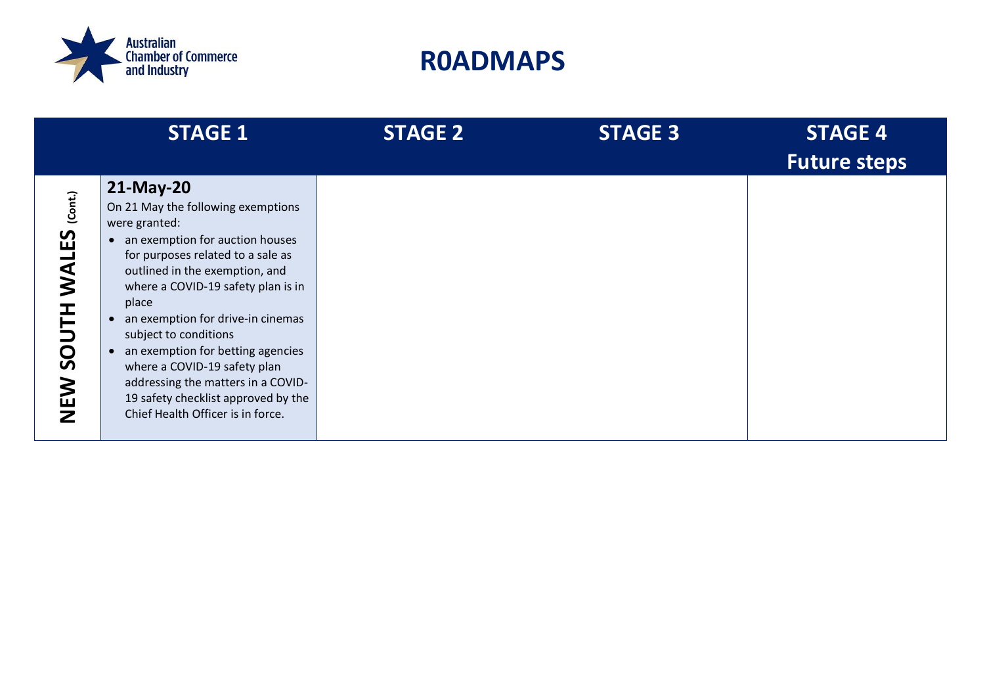

|                                                                            | <b>STAGE 1</b>                                                                                                                                                                                                                                                                                                                                                                                                                                                                                           | <b>STAGE 2</b> | <b>STAGE 3</b> | <b>STAGE 4</b><br><b>Future steps</b> |
|----------------------------------------------------------------------------|----------------------------------------------------------------------------------------------------------------------------------------------------------------------------------------------------------------------------------------------------------------------------------------------------------------------------------------------------------------------------------------------------------------------------------------------------------------------------------------------------------|----------------|----------------|---------------------------------------|
| (Cont.)<br><u>53</u><br>$\blacktriangleleft$<br>$\overline{S}$<br>NEN<br>N | 21-May-20<br>On 21 May the following exemptions<br>were granted:<br>an exemption for auction houses<br>for purposes related to a sale as<br>outlined in the exemption, and<br>where a COVID-19 safety plan is in<br>place<br>an exemption for drive-in cinemas<br>$\bullet$<br>subject to conditions<br>an exemption for betting agencies<br>$\bullet$<br>where a COVID-19 safety plan<br>addressing the matters in a COVID-<br>19 safety checklist approved by the<br>Chief Health Officer is in force. |                |                |                                       |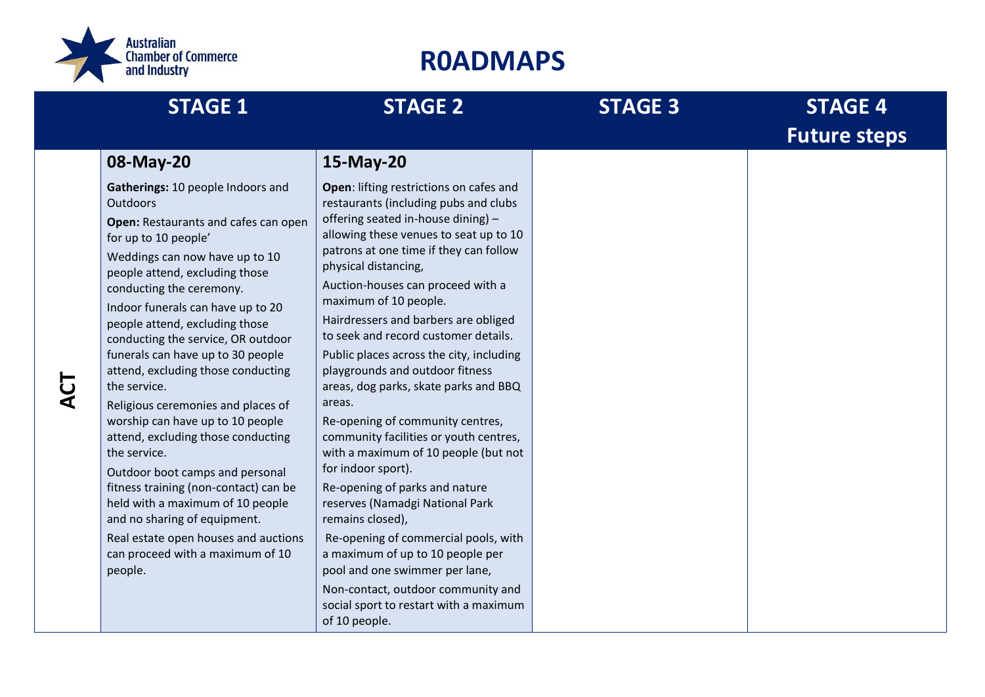

| <b>STAGE 1</b>                                                                                                                                                                                                                                                                                                                                                                                                                                                                                                                                                                                                                                                                                                                                                                                      | <b>STAGE 2</b>                                                                                                                                                                                                                                                                                                                                                                                                                                                                                                                                                                                                                                                                                                                                                                                                                                                                                                                                                         | <b>STAGE 3</b> | <b>STAGE 4</b><br><b>Future steps</b> |
|-----------------------------------------------------------------------------------------------------------------------------------------------------------------------------------------------------------------------------------------------------------------------------------------------------------------------------------------------------------------------------------------------------------------------------------------------------------------------------------------------------------------------------------------------------------------------------------------------------------------------------------------------------------------------------------------------------------------------------------------------------------------------------------------------------|------------------------------------------------------------------------------------------------------------------------------------------------------------------------------------------------------------------------------------------------------------------------------------------------------------------------------------------------------------------------------------------------------------------------------------------------------------------------------------------------------------------------------------------------------------------------------------------------------------------------------------------------------------------------------------------------------------------------------------------------------------------------------------------------------------------------------------------------------------------------------------------------------------------------------------------------------------------------|----------------|---------------------------------------|
| 08-May-20                                                                                                                                                                                                                                                                                                                                                                                                                                                                                                                                                                                                                                                                                                                                                                                           | 15-May-20                                                                                                                                                                                                                                                                                                                                                                                                                                                                                                                                                                                                                                                                                                                                                                                                                                                                                                                                                              |                |                                       |
| Gatherings: 10 people Indoors and<br><b>Outdoors</b><br>Open: Restaurants and cafes can open<br>for up to 10 people'<br>Weddings can now have up to 10<br>people attend, excluding those<br>conducting the ceremony.<br>Indoor funerals can have up to 20<br>people attend, excluding those<br>conducting the service, OR outdoor<br>funerals can have up to 30 people<br>attend, excluding those conducting<br>the service.<br>Religious ceremonies and places of<br>worship can have up to 10 people<br>attend, excluding those conducting<br>the service.<br>Outdoor boot camps and personal<br>fitness training (non-contact) can be<br>held with a maximum of 10 people<br>and no sharing of equipment.<br>Real estate open houses and auctions<br>can proceed with a maximum of 10<br>people. | Open: lifting restrictions on cafes and<br>restaurants (including pubs and clubs<br>offering seated in-house dining) -<br>allowing these venues to seat up to 10<br>patrons at one time if they can follow<br>physical distancing,<br>Auction-houses can proceed with a<br>maximum of 10 people.<br>Hairdressers and barbers are obliged<br>to seek and record customer details.<br>Public places across the city, including<br>playgrounds and outdoor fitness<br>areas, dog parks, skate parks and BBQ<br>areas.<br>Re-opening of community centres,<br>community facilities or youth centres,<br>with a maximum of 10 people (but not<br>for indoor sport).<br>Re-opening of parks and nature<br>reserves (Namadgi National Park<br>remains closed),<br>Re-opening of commercial pools, with<br>a maximum of up to 10 people per<br>pool and one swimmer per lane,<br>Non-contact, outdoor community and<br>social sport to restart with a maximum<br>of 10 people. |                |                                       |